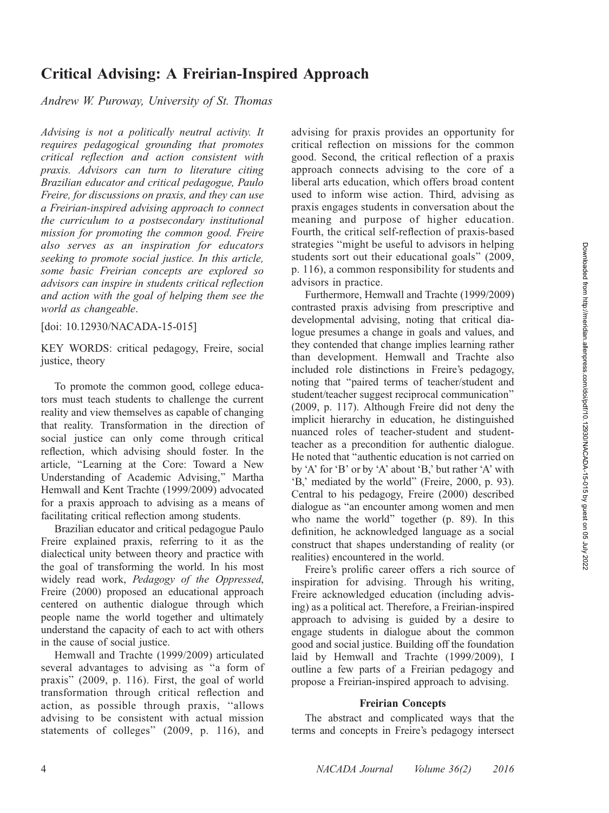# Critical Advising: A Freirian-Inspired Approach

Andrew W. Puroway, University of St. Thomas

Advising is not a politically neutral activity. It requires pedagogical grounding that promotes critical reflection and action consistent with praxis. Advisors can turn to literature citing Brazilian educator and critical pedagogue, Paulo Freire, for discussions on praxis, and they can use a Freirian-inspired advising approach to connect the curriculum to a postsecondary institutional mission for promoting the common good. Freire also serves as an inspiration for educators seeking to promote social justice. In this article, some basic Freirian concepts are explored so advisors can inspire in students critical reflection and action with the goal of helping them see the world as changeable.

[doi: 10.12930/NACADA-15-015]

KEY WORDS: critical pedagogy, Freire, social justice, theory

To promote the common good, college educators must teach students to challenge the current reality and view themselves as capable of changing that reality. Transformation in the direction of social justice can only come through critical reflection, which advising should foster. In the article, ''Learning at the Core: Toward a New Understanding of Academic Advising,'' Martha Hemwall and Kent Trachte (1999/2009) advocated for a praxis approach to advising as a means of facilitating critical reflection among students.

Brazilian educator and critical pedagogue Paulo Freire explained praxis, referring to it as the dialectical unity between theory and practice with the goal of transforming the world. In his most widely read work, Pedagogy of the Oppressed, Freire (2000) proposed an educational approach centered on authentic dialogue through which people name the world together and ultimately understand the capacity of each to act with others in the cause of social justice.

Hemwall and Trachte (1999/2009) articulated several advantages to advising as ''a form of praxis'' (2009, p. 116). First, the goal of world transformation through critical reflection and action, as possible through praxis, ''allows advising to be consistent with actual mission statements of colleges'' (2009, p. 116), and

advising for praxis provides an opportunity for critical reflection on missions for the common good. Second, the critical reflection of a praxis approach connects advising to the core of a liberal arts education, which offers broad content used to inform wise action. Third, advising as praxis engages students in conversation about the meaning and purpose of higher education. Fourth, the critical self-reflection of praxis-based strategies ''might be useful to advisors in helping students sort out their educational goals'' (2009, p. 116), a common responsibility for students and advisors in practice.

Furthermore, Hemwall and Trachte (1999/2009) contrasted praxis advising from prescriptive and developmental advising, noting that critical dialogue presumes a change in goals and values, and they contended that change implies learning rather than development. Hemwall and Trachte also included role distinctions in Freire's pedagogy, noting that ''paired terms of teacher/student and student/teacher suggest reciprocal communication'' (2009, p. 117). Although Freire did not deny the implicit hierarchy in education, he distinguished nuanced roles of teacher-student and studentteacher as a precondition for authentic dialogue. He noted that ''authentic education is not carried on by 'A' for 'B' or by 'A' about 'B,' but rather 'A' with 'B,' mediated by the world'' (Freire, 2000, p. 93). Central to his pedagogy, Freire (2000) described dialogue as ''an encounter among women and men who name the world'' together (p. 89). In this definition, he acknowledged language as a social construct that shapes understanding of reality (or realities) encountered in the world.

Freire's prolific career offers a rich source of inspiration for advising. Through his writing, Freire acknowledged education (including advising) as a political act. Therefore, a Freirian-inspired approach to advising is guided by a desire to engage students in dialogue about the common good and social justice. Building off the foundation laid by Hemwall and Trachte (1999/2009), I outline a few parts of a Freirian pedagogy and propose a Freirian-inspired approach to advising.

#### Freirian Concepts

The abstract and complicated ways that the terms and concepts in Freire's pedagogy intersect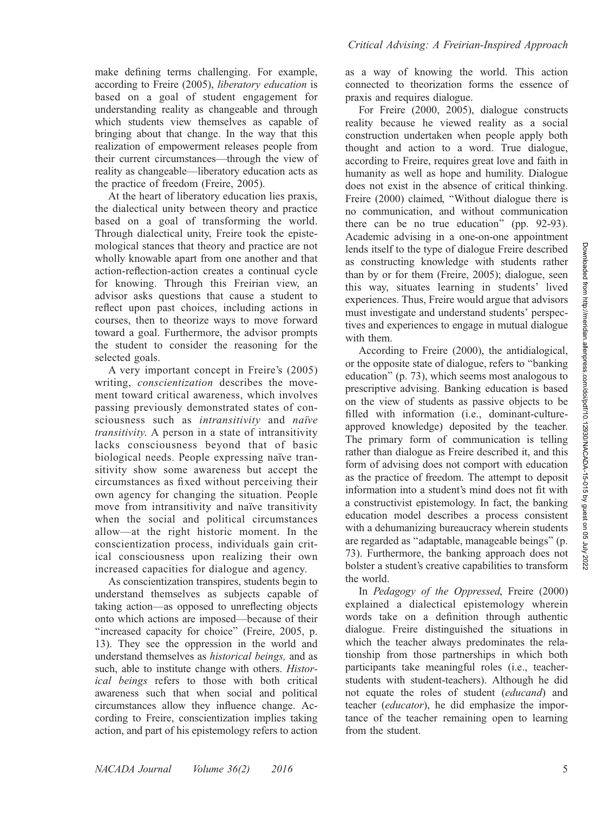make defining terms challenging. For example, according to Freire (2005), liberatory education is based on a goal of student engagement for understanding reality as changeable and through which students view themselves as capable of bringing about that change. In the way that this realization of empowerment releases people from their current circumstances—through the view of reality as changeable—liberatory education acts as the practice of freedom (Freire, 2005).

At the heart of liberatory education lies praxis, the dialectical unity between theory and practice based on a goal of transforming the world. Through dialectical unity, Freire took the epistemological stances that theory and practice are not wholly knowable apart from one another and that action-reflection-action creates a continual cycle for knowing. Through this Freirian view, an advisor asks questions that cause a student to reflect upon past choices, including actions in courses, then to theorize ways to move forward toward a goal. Furthermore, the advisor prompts the student to consider the reasoning for the selected goals.

A very important concept in Freire's (2005) writing, *conscientization* describes the movement toward critical awareness, which involves passing previously demonstrated states of consciousness such as intransitivity and naïve transitivity. A person in a state of intransitivity lacks consciousness beyond that of basic biological needs. People expressing naïve transitivity show some awareness but accept the circumstances as fixed without perceiving their own agency for changing the situation. People move from intransitivity and naïve transitivity when the social and political circumstances allow—at the right historic moment. In the conscientization process, individuals gain critical consciousness upon realizing their own increased capacities for dialogue and agency.

As conscientization transpires, students begin to understand themselves as subjects capable of taking action—as opposed to unreflecting objects onto which actions are imposed—because of their "increased capacity for choice" (Freire, 2005, p. 13). They see the oppression in the world and understand themselves as historical beings, and as such, able to institute change with others. Historical beings refers to those with both critical awareness such that when social and political circumstances allow they influence change. According to Freire, conscientization implies taking action, and part of his epistemology refers to action

as a way of knowing the world. This action connected to theorization forms the essence of praxis and requires dialogue.

For Freire (2000, 2005), dialogue constructs reality because he viewed reality as a social construction undertaken when people apply both thought and action to a word. True dialogue, according to Freire, requires great love and faith in humanity as well as hope and humility. Dialogue does not exist in the absence of critical thinking. Freire (2000) claimed, ''Without dialogue there is no communication, and without communication there can be no true education'' (pp. 92-93). Academic advising in a one-on-one appointment lends itself to the type of dialogue Freire described as constructing knowledge with students rather than by or for them (Freire, 2005); dialogue, seen this way, situates learning in students' lived experiences. Thus, Freire would argue that advisors must investigate and understand students' perspectives and experiences to engage in mutual dialogue with them.

According to Freire (2000), the antidialogical, or the opposite state of dialogue, refers to ''banking education'' (p. 73), which seems most analogous to prescriptive advising. Banking education is based on the view of students as passive objects to be filled with information (i.e., dominant-cultureapproved knowledge) deposited by the teacher. The primary form of communication is telling rather than dialogue as Freire described it, and this form of advising does not comport with education as the practice of freedom. The attempt to deposit information into a student's mind does not fit with a constructivist epistemology. In fact, the banking education model describes a process consistent with a dehumanizing bureaucracy wherein students are regarded as ''adaptable, manageable beings'' (p. 73). Furthermore, the banking approach does not bolster a student's creative capabilities to transform the world.

In Pedagogy of the Oppressed, Freire (2000) explained a dialectical epistemology wherein words take on a definition through authentic dialogue. Freire distinguished the situations in which the teacher always predominates the relationship from those partnerships in which both participants take meaningful roles (i.e., teacherstudents with student-teachers). Although he did not equate the roles of student (educand) and teacher (educator), he did emphasize the importance of the teacher remaining open to learning from the student.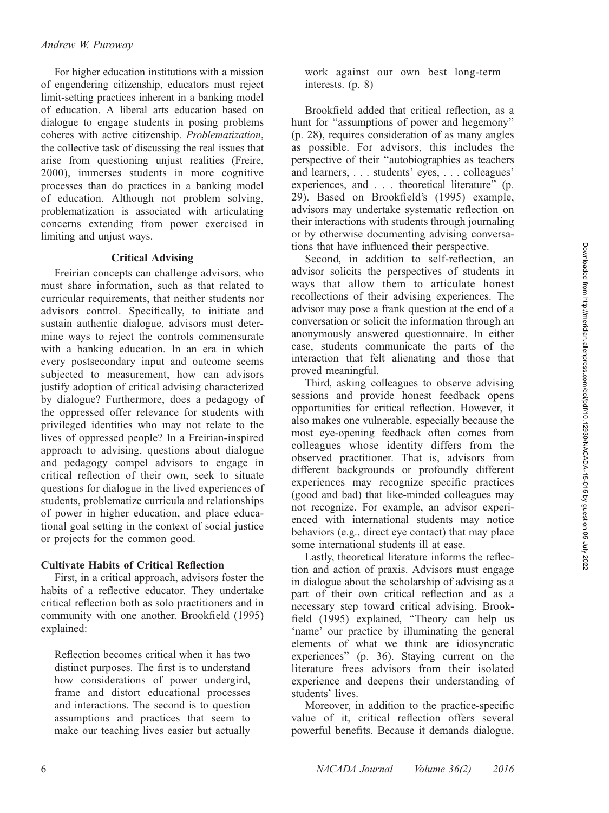# Andrew W. Puroway

For higher education institutions with a mission of engendering citizenship, educators must reject limit-setting practices inherent in a banking model of education. A liberal arts education based on dialogue to engage students in posing problems coheres with active citizenship. Problematization, the collective task of discussing the real issues that arise from questioning unjust realities (Freire, 2000), immerses students in more cognitive processes than do practices in a banking model of education. Although not problem solving, problematization is associated with articulating concerns extending from power exercised in limiting and unjust ways.

#### Critical Advising

Freirian concepts can challenge advisors, who must share information, such as that related to curricular requirements, that neither students nor advisors control. Specifically, to initiate and sustain authentic dialogue, advisors must determine ways to reject the controls commensurate with a banking education. In an era in which every postsecondary input and outcome seems subjected to measurement, how can advisors justify adoption of critical advising characterized by dialogue? Furthermore, does a pedagogy of the oppressed offer relevance for students with privileged identities who may not relate to the lives of oppressed people? In a Freirian-inspired approach to advising, questions about dialogue and pedagogy compel advisors to engage in critical reflection of their own, seek to situate questions for dialogue in the lived experiences of students, problematize curricula and relationships of power in higher education, and place educational goal setting in the context of social justice or projects for the common good.

### Cultivate Habits of Critical Reflection

First, in a critical approach, advisors foster the habits of a reflective educator. They undertake critical reflection both as solo practitioners and in community with one another. Brookfield (1995) explained:

Reflection becomes critical when it has two distinct purposes. The first is to understand how considerations of power undergird, frame and distort educational processes and interactions. The second is to question assumptions and practices that seem to make our teaching lives easier but actually work against our own best long-term interests. (p. 8)

Brookfield added that critical reflection, as a hunt for "assumptions of power and hegemony" (p. 28), requires consideration of as many angles as possible. For advisors, this includes the perspective of their ''autobiographies as teachers and learners, . . . students' eyes, . . . colleagues' experiences, and . . . theoretical literature'' (p. 29). Based on Brookfield's (1995) example, advisors may undertake systematic reflection on their interactions with students through journaling or by otherwise documenting advising conversations that have influenced their perspective.

Second, in addition to self-reflection, an advisor solicits the perspectives of students in ways that allow them to articulate honest recollections of their advising experiences. The advisor may pose a frank question at the end of a conversation or solicit the information through an anonymously answered questionnaire. In either case, students communicate the parts of the interaction that felt alienating and those that proved meaningful.

Third, asking colleagues to observe advising sessions and provide honest feedback opens opportunities for critical reflection. However, it also makes one vulnerable, especially because the most eye-opening feedback often comes from colleagues whose identity differs from the observed practitioner. That is, advisors from different backgrounds or profoundly different experiences may recognize specific practices (good and bad) that like-minded colleagues may not recognize. For example, an advisor experienced with international students may notice behaviors (e.g., direct eye contact) that may place some international students ill at ease.

Lastly, theoretical literature informs the reflection and action of praxis. Advisors must engage in dialogue about the scholarship of advising as a part of their own critical reflection and as a necessary step toward critical advising. Brookfield (1995) explained, ''Theory can help us 'name' our practice by illuminating the general elements of what we think are idiosyncratic experiences" (p. 36). Staying current on the literature frees advisors from their isolated experience and deepens their understanding of students' lives.

Moreover, in addition to the practice-specific value of it, critical reflection offers several powerful benefits. Because it demands dialogue,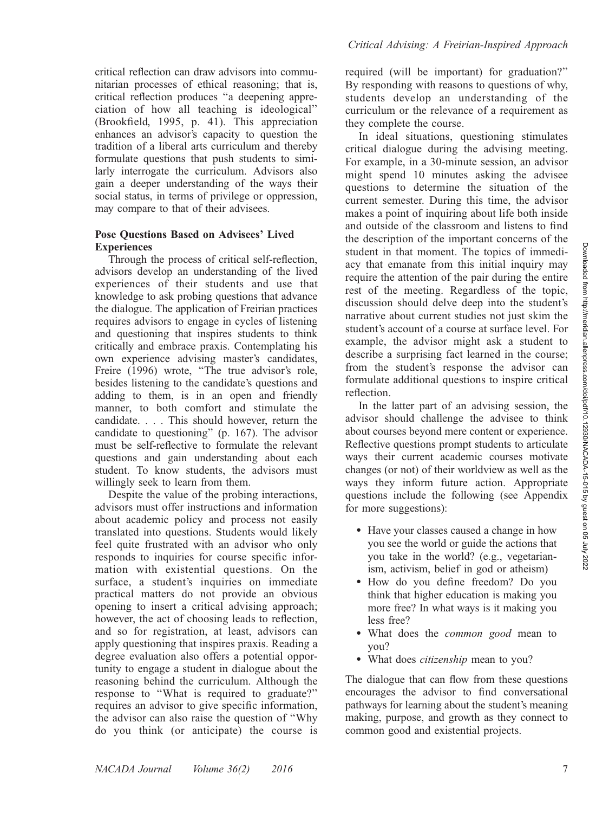Critical Advising: A Freirian-Inspired Approach

critical reflection can draw advisors into communitarian processes of ethical reasoning; that is, critical reflection produces ''a deepening appreciation of how all teaching is ideological'' (Brookfield, 1995, p. 41). This appreciation enhances an advisor's capacity to question the tradition of a liberal arts curriculum and thereby formulate questions that push students to similarly interrogate the curriculum. Advisors also gain a deeper understanding of the ways their social status, in terms of privilege or oppression, may compare to that of their advisees.

# Pose Questions Based on Advisees' Lived **Experiences**

Through the process of critical self-reflection, advisors develop an understanding of the lived experiences of their students and use that knowledge to ask probing questions that advance the dialogue. The application of Freirian practices requires advisors to engage in cycles of listening and questioning that inspires students to think critically and embrace praxis. Contemplating his own experience advising master's candidates, Freire (1996) wrote, "The true advisor's role, besides listening to the candidate's questions and adding to them, is in an open and friendly manner, to both comfort and stimulate the candidate. . . . This should however, return the candidate to questioning'' (p. 167). The advisor must be self-reflective to formulate the relevant questions and gain understanding about each student. To know students, the advisors must willingly seek to learn from them.

Despite the value of the probing interactions, advisors must offer instructions and information about academic policy and process not easily translated into questions. Students would likely feel quite frustrated with an advisor who only responds to inquiries for course specific information with existential questions. On the surface, a student's inquiries on immediate practical matters do not provide an obvious opening to insert a critical advising approach; however, the act of choosing leads to reflection, and so for registration, at least, advisors can apply questioning that inspires praxis. Reading a degree evaluation also offers a potential opportunity to engage a student in dialogue about the reasoning behind the curriculum. Although the response to ''What is required to graduate?'' requires an advisor to give specific information, the advisor can also raise the question of ''Why do you think (or anticipate) the course is

required (will be important) for graduation?'' By responding with reasons to questions of why, students develop an understanding of the curriculum or the relevance of a requirement as they complete the course.

In ideal situations, questioning stimulates critical dialogue during the advising meeting. For example, in a 30-minute session, an advisor might spend 10 minutes asking the advisee questions to determine the situation of the current semester. During this time, the advisor makes a point of inquiring about life both inside and outside of the classroom and listens to find the description of the important concerns of the student in that moment. The topics of immediacy that emanate from this initial inquiry may require the attention of the pair during the entire rest of the meeting. Regardless of the topic, discussion should delve deep into the student's narrative about current studies not just skim the student's account of a course at surface level. For example, the advisor might ask a student to describe a surprising fact learned in the course; from the student's response the advisor can formulate additional questions to inspire critical reflection.

In the latter part of an advising session, the advisor should challenge the advisee to think about courses beyond mere content or experience. Reflective questions prompt students to articulate ways their current academic courses motivate changes (or not) of their worldview as well as the ways they inform future action. Appropriate questions include the following (see Appendix for more suggestions):

- Have your classes caused a change in how you see the world or guide the actions that you take in the world? (e.g., vegetarianism, activism, belief in god or atheism)
- How do you define freedom? Do you think that higher education is making you more free? In what ways is it making you less free?
- What does the *common good* mean to you?
- What does *citizenship* mean to you?

The dialogue that can flow from these questions encourages the advisor to find conversational pathways for learning about the student's meaning making, purpose, and growth as they connect to common good and existential projects.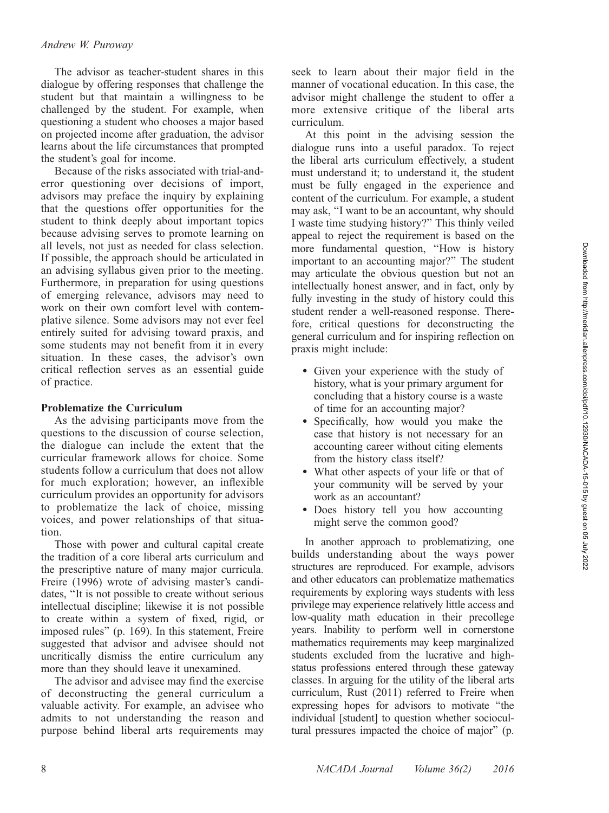# Andrew W. Puroway

The advisor as teacher-student shares in this dialogue by offering responses that challenge the student but that maintain a willingness to be challenged by the student. For example, when questioning a student who chooses a major based on projected income after graduation, the advisor learns about the life circumstances that prompted the student's goal for income.

Because of the risks associated with trial-anderror questioning over decisions of import, advisors may preface the inquiry by explaining that the questions offer opportunities for the student to think deeply about important topics because advising serves to promote learning on all levels, not just as needed for class selection. If possible, the approach should be articulated in an advising syllabus given prior to the meeting. Furthermore, in preparation for using questions of emerging relevance, advisors may need to work on their own comfort level with contemplative silence. Some advisors may not ever feel entirely suited for advising toward praxis, and some students may not benefit from it in every situation. In these cases, the advisor's own critical reflection serves as an essential guide of practice.

# Problematize the Curriculum

As the advising participants move from the questions to the discussion of course selection, the dialogue can include the extent that the curricular framework allows for choice. Some students follow a curriculum that does not allow for much exploration; however, an inflexible curriculum provides an opportunity for advisors to problematize the lack of choice, missing voices, and power relationships of that situation.

Those with power and cultural capital create the tradition of a core liberal arts curriculum and the prescriptive nature of many major curricula. Freire (1996) wrote of advising master's candidates, ''It is not possible to create without serious intellectual discipline; likewise it is not possible to create within a system of fixed, rigid, or imposed rules'' (p. 169). In this statement, Freire suggested that advisor and advisee should not uncritically dismiss the entire curriculum any more than they should leave it unexamined.

The advisor and advisee may find the exercise of deconstructing the general curriculum a valuable activity. For example, an advisee who admits to not understanding the reason and purpose behind liberal arts requirements may seek to learn about their major field in the manner of vocational education. In this case, the advisor might challenge the student to offer a more extensive critique of the liberal arts curriculum.

At this point in the advising session the dialogue runs into a useful paradox. To reject the liberal arts curriculum effectively, a student must understand it; to understand it, the student must be fully engaged in the experience and content of the curriculum. For example, a student may ask, ''I want to be an accountant, why should I waste time studying history?'' This thinly veiled appeal to reject the requirement is based on the more fundamental question, ''How is history important to an accounting major?'' The student may articulate the obvious question but not an intellectually honest answer, and in fact, only by fully investing in the study of history could this student render a well-reasoned response. Therefore, critical questions for deconstructing the general curriculum and for inspiring reflection on praxis might include:

- Given your experience with the study of history, what is your primary argument for concluding that a history course is a waste of time for an accounting major?
- Specifically, how would you make the case that history is not necessary for an accounting career without citing elements from the history class itself?
- What other aspects of your life or that of your community will be served by your work as an accountant?
- Does history tell you how accounting might serve the common good?

In another approach to problematizing, one builds understanding about the ways power structures are reproduced. For example, advisors and other educators can problematize mathematics requirements by exploring ways students with less privilege may experience relatively little access and low-quality math education in their precollege years. Inability to perform well in cornerstone mathematics requirements may keep marginalized students excluded from the lucrative and highstatus professions entered through these gateway classes. In arguing for the utility of the liberal arts curriculum, Rust (2011) referred to Freire when expressing hopes for advisors to motivate ''the individual [student] to question whether sociocultural pressures impacted the choice of major'' (p.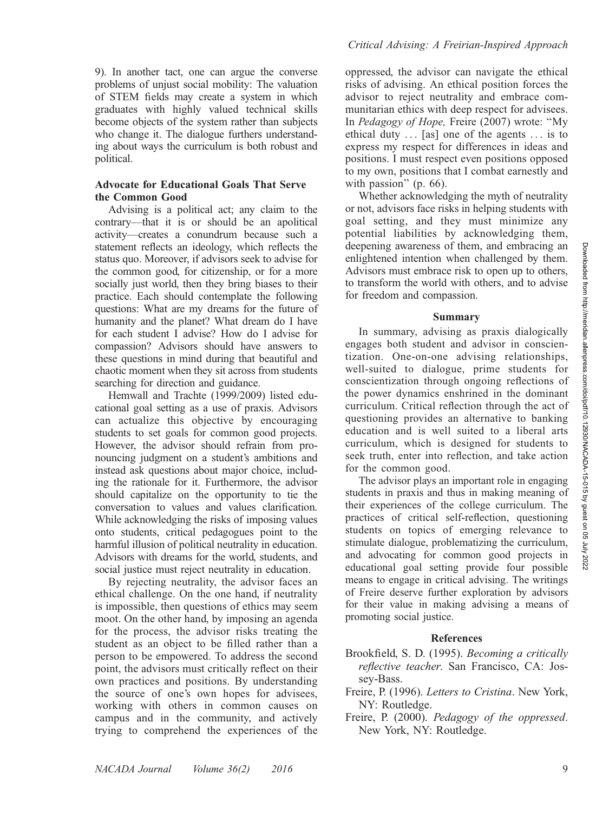9). In another tact, one can argue the converse problems of unjust social mobility: The valuation of STEM fields may create a system in which graduates with highly valued technical skills become objects of the system rather than subjects who change it. The dialogue furthers understanding about ways the curriculum is both robust and political.

# Advocate for Educational Goals That Serve the Common Good

Advising is a political act; any claim to the contrary—that it is or should be an apolitical activity—creates a conundrum because such a statement reflects an ideology, which reflects the status quo. Moreover, if advisors seek to advise for the common good, for citizenship, or for a more socially just world, then they bring biases to their practice. Each should contemplate the following questions: What are my dreams for the future of humanity and the planet? What dream do I have for each student I advise? How do I advise for compassion? Advisors should have answers to these questions in mind during that beautiful and chaotic moment when they sit across from students searching for direction and guidance.

Hemwall and Trachte (1999/2009) listed educational goal setting as a use of praxis. Advisors can actualize this objective by encouraging students to set goals for common good projects. However, the advisor should refrain from pronouncing judgment on a student's ambitions and instead ask questions about major choice, including the rationale for it. Furthermore, the advisor should capitalize on the opportunity to tie the conversation to values and values clarification. While acknowledging the risks of imposing values onto students, critical pedagogues point to the harmful illusion of political neutrality in education. Advisors with dreams for the world, students, and social justice must reject neutrality in education.

By rejecting neutrality, the advisor faces an ethical challenge. On the one hand, if neutrality is impossible, then questions of ethics may seem moot. On the other hand, by imposing an agenda for the process, the advisor risks treating the student as an object to be filled rather than a person to be empowered. To address the second point, the advisors must critically reflect on their own practices and positions. By understanding the source of one's own hopes for advisees, working with others in common causes on campus and in the community, and actively trying to comprehend the experiences of the

#### Critical Advising: A Freirian-Inspired Approach

oppressed, the advisor can navigate the ethical risks of advising. An ethical position forces the advisor to reject neutrality and embrace communitarian ethics with deep respect for advisees. In Pedagogy of Hope, Freire (2007) wrote: ''My ethical duty  $\ldots$  [as] one of the agents  $\ldots$  is to express my respect for differences in ideas and positions. I must respect even positions opposed to my own, positions that I combat earnestly and with passion" (p. 66).

Whether acknowledging the myth of neutrality or not, advisors face risks in helping students with goal setting, and they must minimize any potential liabilities by acknowledging them, deepening awareness of them, and embracing an enlightened intention when challenged by them. Advisors must embrace risk to open up to others, to transform the world with others, and to advise for freedom and compassion.

#### Summary

In summary, advising as praxis dialogically engages both student and advisor in conscientization. One-on-one advising relationships, well-suited to dialogue, prime students for conscientization through ongoing reflections of the power dynamics enshrined in the dominant curriculum. Critical reflection through the act of questioning provides an alternative to banking education and is well suited to a liberal arts curriculum, which is designed for students to seek truth, enter into reflection, and take action for the common good.

The advisor plays an important role in engaging students in praxis and thus in making meaning of their experiences of the college curriculum. The practices of critical self-reflection, questioning students on topics of emerging relevance to stimulate dialogue, problematizing the curriculum, and advocating for common good projects in educational goal setting provide four possible means to engage in critical advising. The writings of Freire deserve further exploration by advisors for their value in making advising a means of promoting social justice.

#### References

- Brookfield, S. D. (1995). Becoming a critically reflective teacher. San Francisco, CA: Jossey-Bass.
- Freire, P. (1996). Letters to Cristina. New York, NY: Routledge.
- Freire, P. (2000). Pedagogy of the oppressed. New York, NY: Routledge.